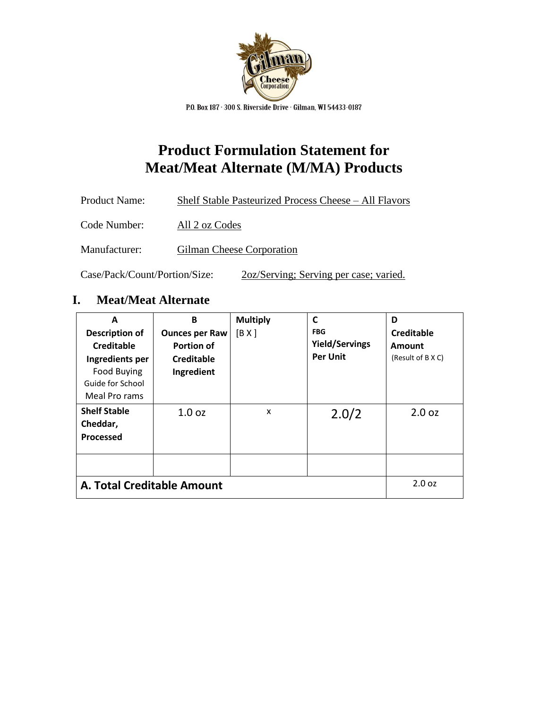

P.O. Box 187 · 300 S. Riverside Drive · Gilman, WI 54433-0187

## **Product Formulation Statement for Meat/Meat Alternate (M/MA) Products**

| Product Name: | Shelf Stable Pasteurized Process Cheese – All Flavors |
|---------------|-------------------------------------------------------|
| Code Number:  | All 2 oz Codes                                        |
| Manufacturer: | Gilman Cheese Corporation                             |

Case/Pack/Count/Portion/Size: 2oz/Serving; Serving per case; varied.

## **I. Meat/Meat Alternate**

| A<br><b>Description of</b><br>Creditable<br>Ingredients per<br><b>Food Buying</b><br>Guide for School<br>Meal Pro rams | B<br><b>Ounces per Raw</b><br>Portion of<br>Creditable<br>Ingredient | <b>Multiply</b><br>[B X] | C<br><b>FBG</b><br><b>Yield/Servings</b><br><b>Per Unit</b> | D<br>Creditable<br>Amount<br>(Result of B X C) |
|------------------------------------------------------------------------------------------------------------------------|----------------------------------------------------------------------|--------------------------|-------------------------------------------------------------|------------------------------------------------|
| <b>Shelf Stable</b><br>Cheddar,<br>Processed                                                                           | 1.0 <sub>oz</sub>                                                    | X                        | 2.0/2                                                       | 2.0 oz                                         |
| A. Total Creditable Amount                                                                                             | 2.0 oz                                                               |                          |                                                             |                                                |